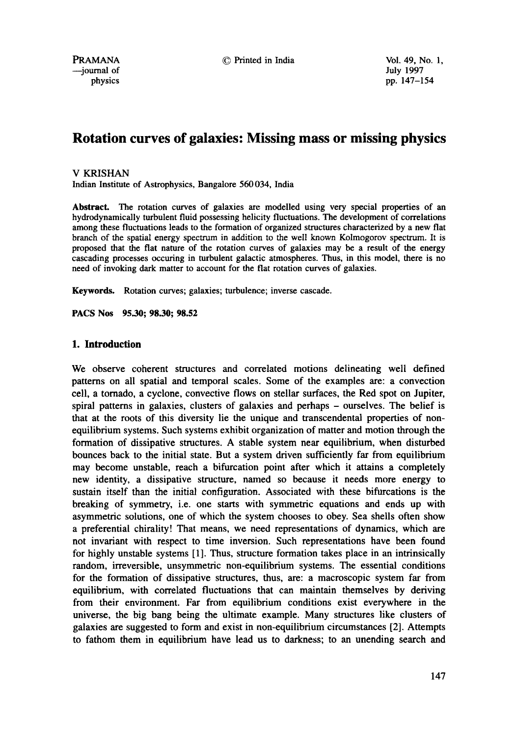# **Rotation curves of galaxies: Missing mass or missing physics**

#### V KRISHAN

Indian Institute of Astrophysics, Bangalore 560 034, India

**Abstract.** The rotation curves of galaxies are modelled using very special properties of an hydrodynamically turbulent fluid possessing helicity fluctuations. The development of correlations among these fluctuations leads to the formation of organized structures characterized by a new flat branch of the spatial energy spectrum in addition to the well known Kolmogorov spectrum. It is proposed that the flat nature of the rotation curves of galaxies may be a result of the energy cascading processes occuring in turbulent galactic atmospheres. Thus, in this model, there is no need of invoking dark matter to account for the flat rotation curves of galaxies.

Keywords. Rotation curves; galaxies; turbulence; inverse cascade.

**PACS Nos 95.30; 98.30; 98.52** 

#### **1. Introduction**

We observe coherent structures and correlated motions delineating well defined patterns on all spatial and temporal scales. Some of the examples are: a convection cell, a tornado, a cyclone, convective flows on stellar surfaces, the Red spot on Jupiter, spiral patterns in galaxies, clusters of galaxies and perhaps - ourselves. The belief is that at the roots of this diversity lie the unique and transcendental properties of nonequilibrium systems. Such systems exhibit organization of matter and motion through the formation of dissipative structures. A stable system near equilibrium, when disturbed bounces back to the initial state. But a system driven sufficiently far from equilibrium may become unstable, reach a bifurcation point after which it attains a completely new identity, a dissipative structure, named so because it needs more energy to sustain itself than the initial configuration. Associated with these bifurcations is the breaking of symmetry, i.e. one starts with symmetric equations and ends up with asymmetric solutions, one of which the system chooses to obey. Sea shells often show a preferential chirality! That means, we need representations of dynamics, which are not invariant with respect to time inversion. Such representations have been found for highly unstable systems [1]. Thus, structure formation takes place in an intrinsically random, irreversible, unsymmetric non-equilibrium systems. The essential conditions for the formation of dissipative structures, thus, are: a macroscopic system far from equilibrium, with correlated fluctuations that can maintain themselves by deriving from their environment. Far from equilibrium conditions exist everywhere in the universe, the big bang being the ultimate example. Many structures like clusters of galaxies are suggested to form and exist in non-equilibrium circumstances [2]. Attempts to fathom them in equilibrium have lead us to darkness; to an unending search and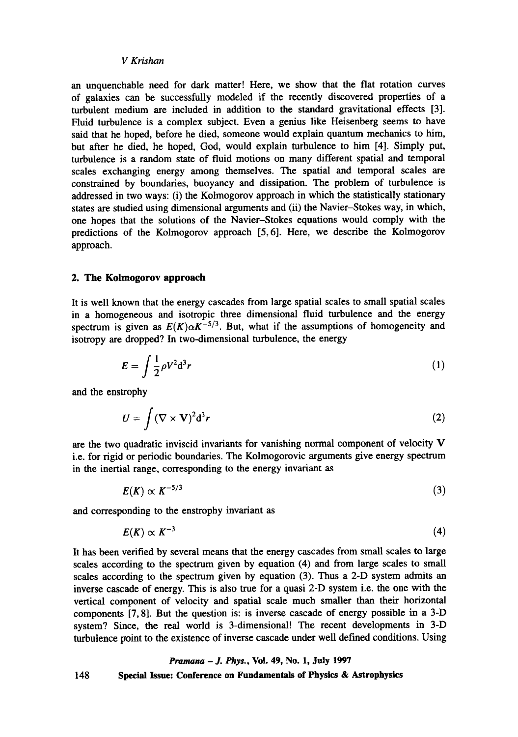an unquenchable need for dark matter! Here, we show that the flat rotation curves of galaxies can be successfully modeled if the recently discovered properties of a turbulent medium are included in addition to the standard gravitational effects [3]. Fluid turbulence is a complex subject. Even a genius like Heisenberg seems to have said that he hoped, before he died, someone would explain quantum mechanics to him, but after he died, he hoped, God, would explain turbulence to him [4]. Simply put, turbulence is a random state of fluid motions on many different spatial and temporal scales exchanging energy among themselves. The spatial and temporal scales are constrained by boundaries, buoyancy and dissipation. The problem of turbulence is addressed in two ways: (i) the Kolmogorov approach in which the statistically stationary states are studied using dimensional arguments and (ii) the Navier-Stokes way, in which, one hopes that the solutions of the Navier-Stokes equations would comply with the predictions of the Kolmogorov approach [5, 6]. Here, we describe the Kolmogorov approach.

#### **2. The Kolmogorov approach**

It is well known that the energy cascades from large spatial scales to small spatial scales in a homogeneous and isotropic three dimensional fluid turbulence and the energy spectrum is given as  $E(K)\alpha K^{-5/3}$ . But, what if the assumptions of homogeneity and isotropy are dropped? In two-dimensional turbulence, the energy

$$
E = \int \frac{1}{2} \rho V^2 d^3 r \tag{1}
$$

and the enstrophy

$$
U = \int (\nabla \times \mathbf{V})^2 d^3 r \tag{2}
$$

are the two quadratic inviscid invariants for vanishing normal component of velocity V i.e. for rigid or periodic boundaries. The Kolmogorovic arguments give energy spectrum in the inertial range, corresponding to the energy invariant as

$$
E(K) \propto K^{-5/3} \tag{3}
$$

and corresponding to the enstrophy invariant as

$$
E(K) \propto K^{-3} \tag{4}
$$

It has been verified by several means that the energy cascades from small scales to large scales according to the spectrum given by equation (4) and from large scales to small scales according to the spectrum given by equation (3). Thus a 2-D system admits an inverse cascade of energy. This is also true for a quasi 2-D system i.e. the one with the vertical component of velocity and spatial scale much smaller than their horizontal components [7, 8]. But the question is: is inverse cascade of energy possible in a 3-D system? Since, the real world is 3-dimensional! The recent developments in 3-D turbulence point to the existence of inverse cascade under well defined conditions. Using

#### *Pramana - J. Phys.,* **Vol. 49, No. 1, July 1997**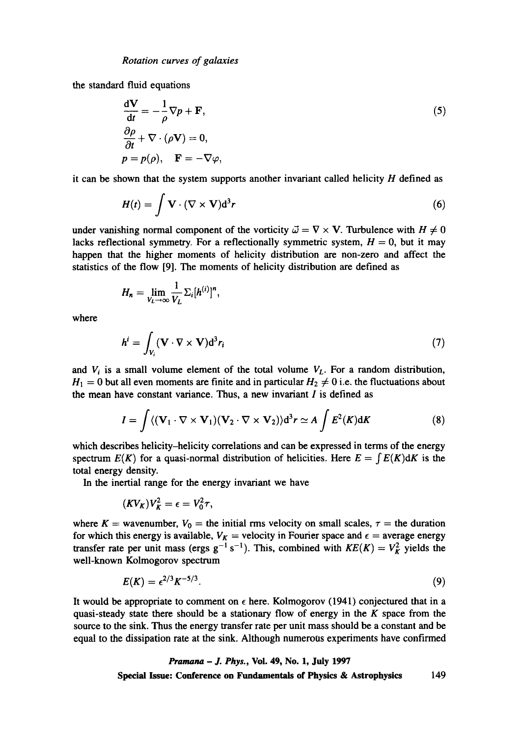the standard fluid equations

$$
\frac{d\mathbf{V}}{dt} = -\frac{1}{\rho} \nabla p + \mathbf{F},
$$
  
\n
$$
\frac{\partial \rho}{\partial t} + \nabla \cdot (\rho \mathbf{V}) = 0,
$$
  
\n
$$
p = p(\rho), \quad \mathbf{F} = -\nabla \varphi,
$$
\n(5)

it can be shown that the system supports another invariant called helicity  $H$  defined as

$$
H(t) = \int \mathbf{V} \cdot (\nabla \times \mathbf{V}) d^3 r \tag{6}
$$

under vanishing normal component of the vorticity  $\vec{\omega} = \nabla \times \mathbf{V}$ . Turbulence with  $H \neq 0$ lacks reflectional symmetry. For a reflectionally symmetric system,  $H = 0$ , but it may happen that the higher moments of helicity distribution are non-zero and affect the statistics of the flow [9]. The moments of helicity distribution are defined as

$$
H_n=\lim_{V_L\to\infty}\frac{1}{V_L}\Sigma_i[h^{(i)}]^n,
$$

where

$$
h^{i} = \int_{V_{i}} (\mathbf{V} \cdot \nabla \times \mathbf{V}) \mathrm{d}^{3} r_{i}
$$
 (7)

and  $V_i$  is a small volume element of the total volume  $V_L$ . For a random distribution,  $H_1 = 0$  but all even moments are finite and in particular  $H_2 \neq 0$  i.e. the fluctuations about the mean have constant variance. Thus, a new invariant  $I$  is defined as

$$
I = \int \langle (\mathbf{V}_1 \cdot \nabla \times \mathbf{V}_1)(\mathbf{V}_2 \cdot \nabla \times \mathbf{V}_2) \rangle d^3 r \simeq A \int E^2(K) dK \tag{8}
$$

which describes helicity-helicity correlations and can be expressed in terms of the energy spectrum  $E(K)$  for a quasi-normal distribution of helicities. Here  $E = \int E(K)dK$  is the total energy density.

In the inertial range for the energy invariant we have

$$
(KV_K)V_K^2=\epsilon=V_0^2\tau,
$$

where K = wavenumber,  $V_0$  = the initial rms velocity on small scales,  $\tau$  = the duration for which this energy is available,  $V_K =$  velocity in Fourier space and  $\epsilon =$  average energy transfer rate per unit mass (ergs  $g^{-1}$  s<sup>-1</sup>). This, combined with  $KE(K) = V_K^2$  yields the well-known Kolmogorov spectrum

$$
E(K) = \epsilon^{2/3} K^{-5/3}.
$$
\n<sup>(9)</sup>

It would be appropriate to comment on  $\epsilon$  here. Kolmogorov (1941) conjectured that in a quasi-steady state there should be a stationary flow of energy in the  $K$  space from the source to the sink. Thus the energy transfer rate per unit mass should be a constant and be equal to the dissipation rate at the sink. Although numerous experiments have confirmed

## *Pramana - J. Phys.,* **Vol. 49, No. 1, July 1997 Special Issue: Conference on Fundamentals of Physics & Astrophysics** 149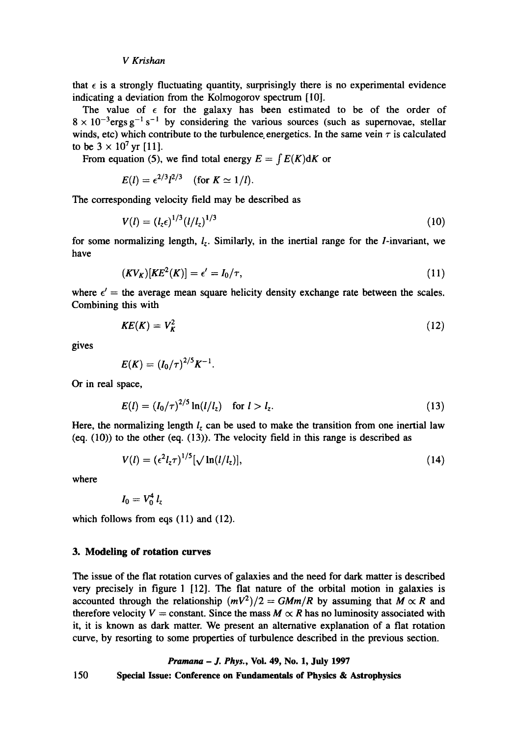that  $\epsilon$  is a strongly fluctuating quantity, surprisingly there is no experimental evidence indicating a deviation from the Kolmogorov spectrum [10].

The value of  $\epsilon$  for the galaxy has been estimated to be of the order of  $8 \times 10^{-3}$ ergs g<sup>-1</sup> s<sup>-1</sup> by considering the various sources (such as supernovae, stellar winds, etc) which contribute to the turbulence energetics. In the same vein  $\tau$  is calculated to be  $3 \times 10^7$  yr [11].

From equation (5), we find total energy  $E = \int E(K)dK$  or

$$
E(l) = \epsilon^{2/3} l^{2/3} \quad \text{(for } K \simeq 1/l\text{)}.
$$

The corresponding velocity field may be described as

$$
V(l) = (l_z \epsilon)^{1/3} (l/l_z)^{1/3} \tag{10}
$$

for some normalizing length,  $l_z$ . Similarly, in the inertial range for the *I*-invariant, we have

$$
(KV_K)[KE^2(K)] = \epsilon' = I_0/\tau,
$$
\n(11)

where  $\epsilon'$  = the average mean square helicity density exchange rate between the scales. Combining this with

$$
KE(K) = V_K^2 \tag{12}
$$

gives

$$
E(K) = (I_0/\tau)^{2/5} K^{-1}.
$$

Or in real space,

$$
E(l) = (I_0/\tau)^{2/5} \ln(l/l_z) \quad \text{for } l > l_z.
$$
 (13)

Here, the normalizing length  $I<sub>z</sub>$  can be used to make the transition from one inertial law (eq. (10)) to the other (eq. (13)). The velocity field in this range is described as

$$
V(l) = \left(\epsilon^2 l_z \tau\right)^{1/5} [\sqrt{\ln(l/l_z)}],\tag{14}
$$

where

$$
I_0=V_0^4\,l_z
$$

which follows from eqs (11) and (12).

## **3. Modeling of rotation curves**

The issue of the flat rotation curves of galaxies and the need for dark matter is described very precisely in figure 1 [12]. The flat nature of the orbital motion in galaxies is accounted through the relationship  $(mV^2)/2 = GMm/R$  by assuming that  $M \propto R$  and therefore velocity  $V =$  constant. Since the mass  $M \propto R$  has no luminosity associated with it, it is known as dark matter. We present an alternative explanation of a flat rotation curve, by resorting to some properties of turbulence described in the previous section.

#### *Pranmna - J. Phys.,* **Voi. 49, No. 1, July 1997**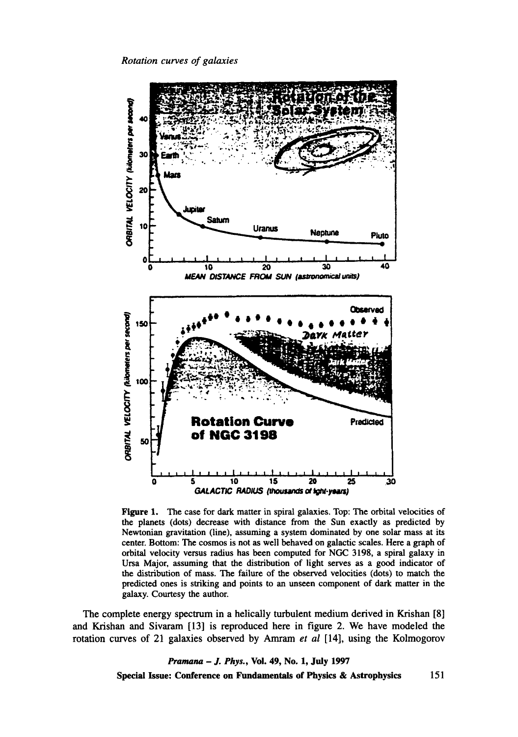

Figure 1. The case for dark matter in spiral galaxies. Top: The orbital velocities of the planets (dots) decrease with distance from the Sun exacdy as predicted by Newtonian gravitation (line), assuming a system dominated by one solar mass at its center. Bottom: The cosmos is not as well behaved on galactic scales. Here a graph of orbital velocity versus radius has been computed for NGC 3198, a spiral galaxy in Ursa Major, assuming that the distribution of light serves as a good indicator of the distribution of mass. The failure of the observed velocities (dots) to match the predicted ones is striking and points to an unseen component of dark matter in the galaxy. Courtesy the author.

The complete energy spectrum in a helically turbulent medium derived in Krishan [8] and Krishan and Sivaram [13] is reproduced here in figure 2. We have modeled the rotation curves of 21 galaxies observed by Amram *et al* [14], using the Kolmogorov

> *Pramana - J. Phys., Vol. 49, No. 1, July 1997* Special Issue: Conference on Fundamentals **of Physics & Astrophysics** 151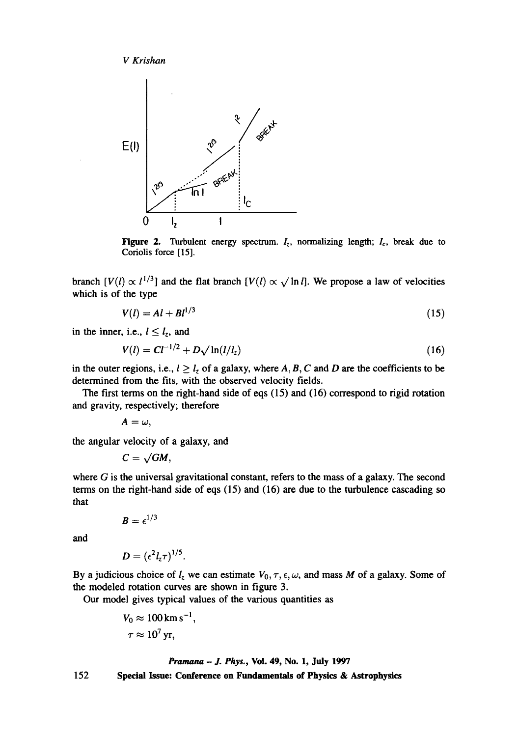

Figure 2. Turbulent energy spectrum.  $I_z$ , normalizing length;  $I_c$ , break due to Coriolis force [15].

branch  $[V(l) \propto l^{1/3}]$  and the flat branch  $[V(l) \propto \sqrt{\ln l}]$ . We propose a law of velocities which is of the type

$$
V(l) = Al + Bl^{1/3}
$$
 (15)

in the inner, i.e.,  $l \leq l_z$ , and

$$
V(l) = Cl^{-1/2} + D\sqrt{\ln(l/l_z)}
$$
\n(16)

in the outer regions, i.e.,  $l \ge l_z$  of a galaxy, where A, B, C and D are the coefficients to be determined from the fits, with the observed velocity fields.

The first terms on the right-hand side of eqs (15) and (16) correspond to rigid rotation and gravity, respectively; therefore

 $A = \omega$ ,

the angular velocity of a galaxy, and

$$
C=\sqrt{GM},
$$

where  $G$  is the universal gravitational constant, refers to the mass of a galaxy. The second terms on the right-hand side of eqs (15) and (16) are due to the turbulence cascading so that

$$
B=\epsilon^{1/3}
$$

and

$$
D=(\epsilon^2 l_z \tau)^{1/5}.
$$

By a judicious choice of  $l_z$  we can estimate  $V_0, \tau, \epsilon, \omega$ , and mass M of a galaxy. Some of the modeled rotation curves are shown in figure 3.

Our model gives typical values of the various quantities as

$$
V_0 \approx 100 \,\mathrm{km\,s}^{-1},
$$
  

$$
\tau \approx 10^7 \,\mathrm{yr},
$$

*Pramana - J. Phys.,* Vol. 49, No. 1, July 1997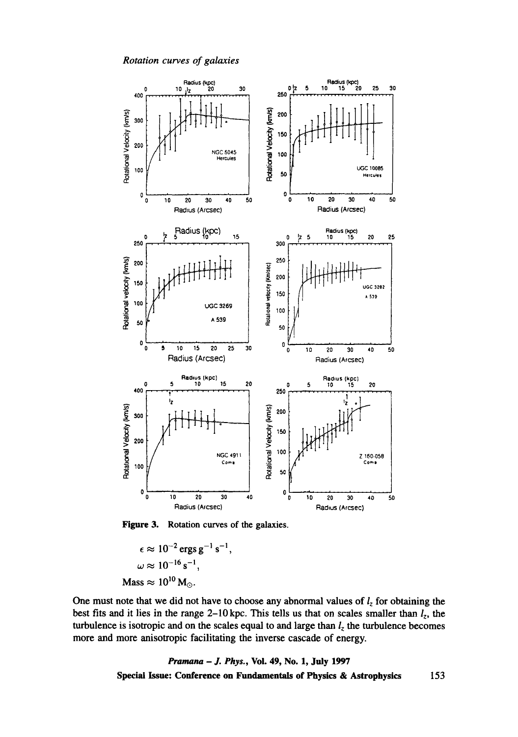*Rotation curves of galaxies* 





$$
\epsilon \approx 10^{-2} \,\text{ergs}\,\text{g}^{-1}\,\text{s}^{-1},
$$

$$
\omega \approx 10^{-16}\,\text{s}^{-1},
$$

$$
\text{Mass} \approx 10^{10}\,\text{M}_{\odot}.
$$

One must note that we did not have to choose any abnormal values of  $l_2$  for obtaining the **best fits and it lies in the range 2-10kpc. This tells us that on scales smaller than** *Iz, the*  turbulence is isotropic and on the scales equal to and large than  $l<sub>z</sub>$  the turbulence becomes **more and more anisotropic facilitating the inverse cascade of energy.** 

> *Pramana - J. Phys.,* **Vol. 49, No. 1, July 1997 Special Issue: Conference on Fundamentals of Physics & Astrophysics** 153